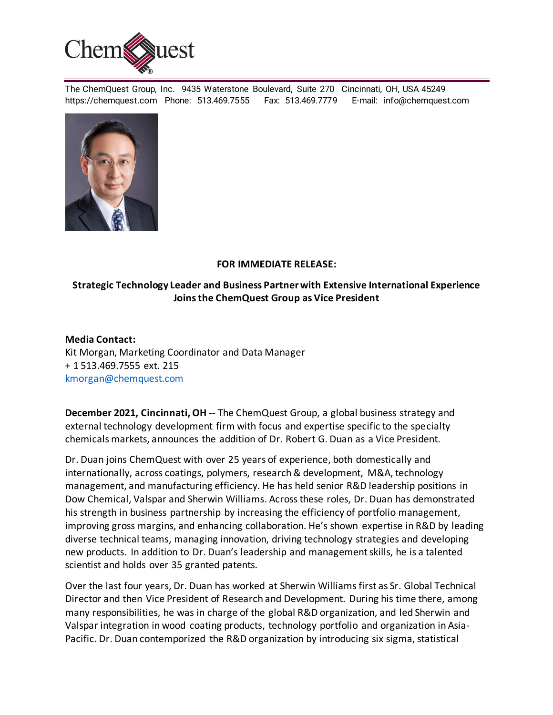

The ChemQuest Group, Inc. 9435 Waterstone Boulevard, Suite 270 Cincinnati, OH, USA 45249 https://chemquest.com Phone: 513.469.7555 Fax: 513.469.7779 E-mail: info@chemquest.com



## **FOR IMMEDIATE RELEASE:**

## **Strategic Technology Leader and Business Partner with Extensive International Experience Joins the ChemQuest Group as Vice President**

## **Media Contact:**

Kit Morgan, Marketing Coordinator and Data Manager + 1 513.469.7555 ext. 215 kmorgan@chemquest.com

**December 2021, Cincinnati, OH --** The ChemQuest Group, a global business strategy and external technology development firm with focus and expertise specific to the specialty chemicals markets, announces the addition of Dr. Robert G. Duan as a Vice President.

Dr. Duan joins ChemQuest with over 25 years of experience, both domestically and internationally, across coatings, polymers, research & development, M&A, technology management, and manufacturing efficiency. He has held senior R&D leadership positions in Dow Chemical, Valspar and Sherwin Williams. Across these roles, Dr. Duan has demonstrated his strength in business partnership by increasing the efficiency of portfolio management, improving gross margins, and enhancing collaboration. He's shown expertise in R&D by leading diverse technical teams, managing innovation, driving technology strategies and developing new products. In addition to Dr. Duan's leadership and management skills, he is a talented scientist and holds over 35 granted patents.

Over the last four years, Dr. Duan has worked at Sherwin Williams first as Sr. Global Technical Director and then Vice President of Research and Development. During his time there, among many responsibilities, he was in charge of the global R&D organization, and led Sherwin and Valspar integration in wood coating products, technology portfolio and organization in Asia-Pacific. Dr. Duan contemporized the R&D organization by introducing six sigma, statistical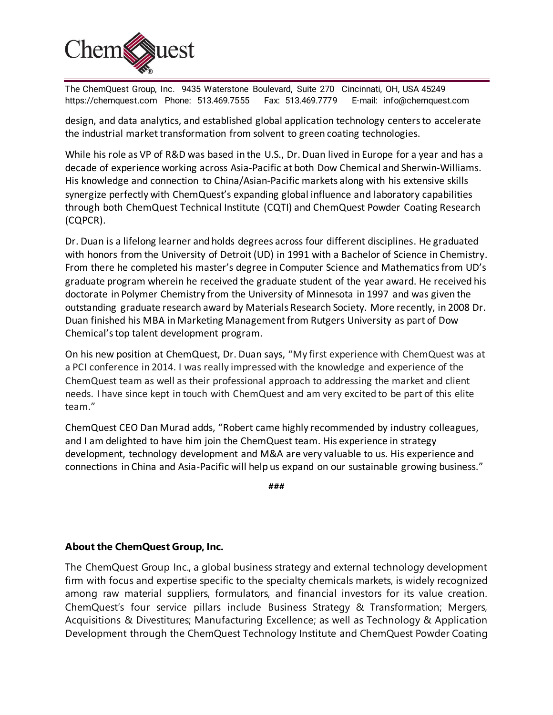

The ChemQuest Group, Inc. 9435 Waterstone Boulevard, Suite 270 Cincinnati, OH, USA 45249 https://chemquest.com Phone: 513.469.7555 Fax: 513.469.7779 E-mail: info@chemquest.com

design, and data analytics, and established global application technology centers to accelerate the industrial market transformation from solvent to green coating technologies.

While his role as VP of R&D was based in the U.S., Dr. Duan lived in Europe for a year and has a decade of experience working across Asia-Pacific at both Dow Chemical and Sherwin-Williams. His knowledge and connection to China/Asian-Pacific markets along with his extensive skills synergize perfectly with ChemQuest's expanding global influence and laboratory capabilities through both ChemQuest Technical Institute (CQTI) and ChemQuest Powder Coating Research (CQPCR).

Dr. Duan is a lifelong learner and holds degrees across four different disciplines. He graduated with honors from the University of Detroit (UD) in 1991 with a Bachelor of Science in Chemistry. From there he completed his master's degree in Computer Science and Mathematics from UD's graduate program wherein he received the graduate student of the year award. He received his doctorate in Polymer Chemistry from the University of Minnesota in 1997 and was given the outstanding graduate research award by Materials Research Society. More recently, in 2008 Dr. Duan finished his MBA in Marketing Management from Rutgers University as part of Dow Chemical's top talent development program.

On his new position at ChemQuest, Dr. Duan says, "My first experience with ChemQuest was at a PCI conference in 2014. I was really impressed with the knowledge and experience of the ChemQuest team as well as their professional approach to addressing the market and client needs. I have since kept in touch with ChemQuest and am very excited to be part of this elite team."

ChemQuest CEO Dan Murad adds, "Robert came highly recommended by industry colleagues, and I am delighted to have him join the ChemQuest team. His experience in strategy development, technology development and M&A are very valuable to us. His experience and connections in China and Asia-Pacific will help us expand on our sustainable growing business."

**###**

## **About the ChemQuest Group, Inc.**

The ChemQuest Group Inc., a global business strategy and external technology development firm with focus and expertise specific to the specialty chemicals markets, is widely recognized among raw material suppliers, formulators, and financial investors for its value creation. ChemQuest's four service pillars include Business Strategy & Transformation; Mergers, Acquisitions & Divestitures; Manufacturing Excellence; as well as Technology & Application Development through the ChemQuest Technology Institute and ChemQuest Powder Coating